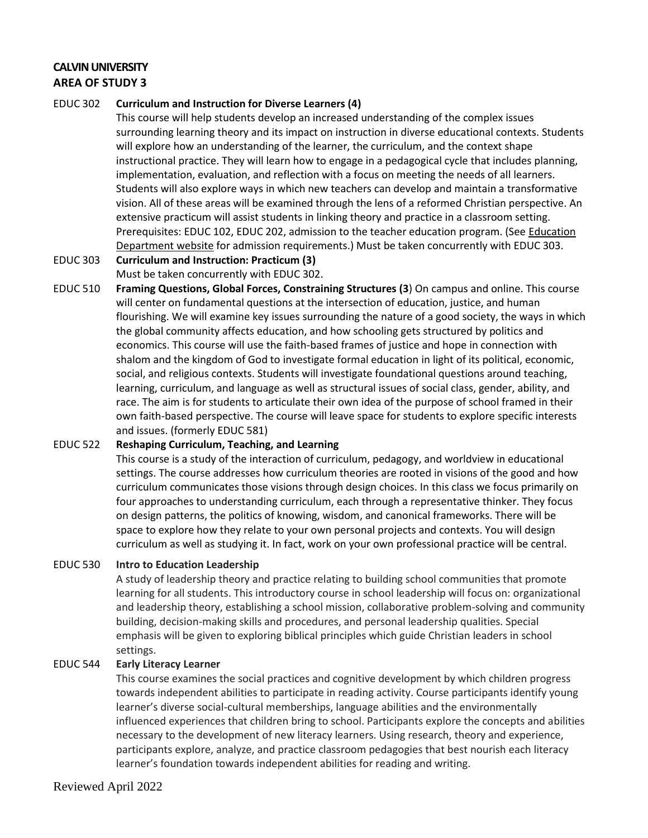## **CALVIN UNIVERSITY AREA OF STUDY 3**

### EDUC 302 **Curriculum and Instruction for Diverse Learners (4)**

This course will help students develop an increased understanding of the complex issues surrounding learning theory and its impact on instruction in diverse educational contexts. Students will explore how an understanding of the learner, the curriculum, and the context shape instructional practice. They will learn how to engage in a pedagogical cycle that includes planning, implementation, evaluation, and reflection with a focus on meeting the needs of all learners. Students will also explore ways in which new teachers can develop and maintain a transformative vision. All of these areas will be examined through the lens of a reformed Christian perspective. An extensive practicum will assist students in linking theory and practice in a classroom setting. Prerequisites: EDUC 102, EDUC 202, admission to the teacher education program. (See [Education](https://calvin.edu/academics/departments-programs/education/academics/admission-requirements/) [Department](https://calvin.edu/academics/departments-programs/education/academics/admission-requirements/) website for admission requirements.) Must be taken concurrently with EDUC 303.

# EDUC 303 **Curriculum and Instruction: Practicum (3)**

## Must be taken concurrently with EDUC 302. EDUC 510 **Framing Questions, Global Forces, Constraining Structures (3**) On campus and online. This course

will center on fundamental questions at the intersection of education, justice, and human flourishing. We will examine key issues surrounding the nature of a good society, the ways in which the global community affects education, and how schooling gets structured by politics and economics. This course will use the faith-based frames of justice and hope in connection with shalom and the kingdom of God to investigate formal education in light of its political, economic, social, and religious contexts. Students will investigate foundational questions around teaching, learning, curriculum, and language as well as structural issues of social class, gender, ability, and race. The aim is for students to articulate their own idea of the purpose of school framed in their own faith-based perspective. The course will leave space for students to explore specific interests and issues. (formerly EDUC 581)

## EDUC 522 **Reshaping Curriculum, Teaching, and Learning**

This course is a study of the interaction of curriculum, pedagogy, and worldview in educational settings. The course addresses how curriculum theories are rooted in visions of the good and how curriculum communicates those visions through design choices. In this class we focus primarily on four approaches to understanding curriculum, each through a representative thinker. They focus on design patterns, the politics of knowing, wisdom, and canonical frameworks. There will be space to explore how they relate to your own personal projects and contexts. You will design curriculum as well as studying it. In fact, work on your own professional practice will be central.

## EDUC 530 **Intro to Education Leadership**

A study of leadership theory and practice relating to building school communities that promote learning for all students. This introductory course in school leadership will focus on: organizational and leadership theory, establishing a school mission, collaborative problem-solving and community building, decision-making skills and procedures, and personal leadership qualities. Special emphasis will be given to exploring biblical principles which guide Christian leaders in school settings.

#### EDUC 544 **Early Literacy Learner**

This course examines the social practices and cognitive development by which children progress towards independent abilities to participate in reading activity. Course participants identify young learner's diverse social-cultural memberships, language abilities and the environmentally influenced experiences that children bring to school. Participants explore the concepts and abilities necessary to the development of new literacy learners. Using research, theory and experience, participants explore, analyze, and practice classroom pedagogies that best nourish each literacy learner's foundation towards independent abilities for reading and writing.

## Reviewed April 2022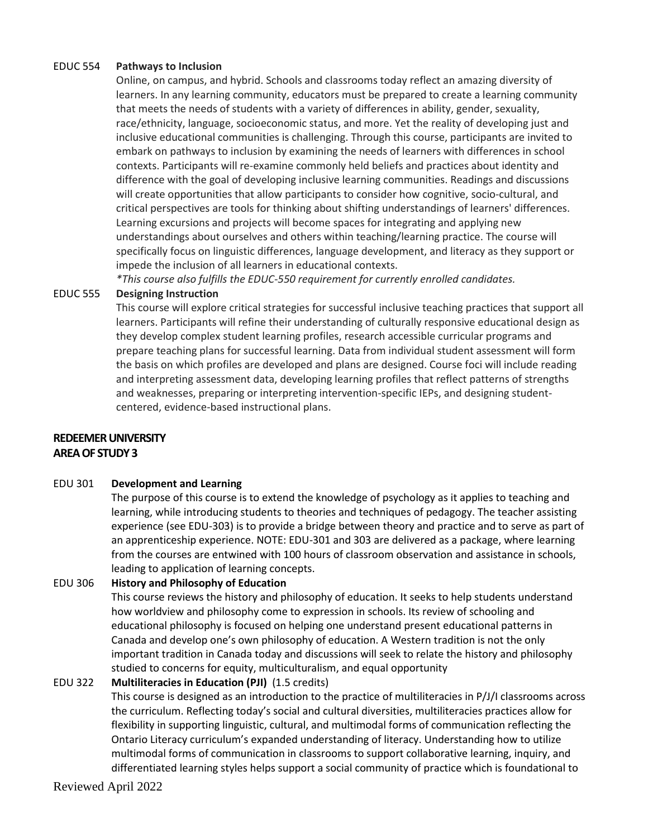### EDUC 554 **Pathways to Inclusion**

Online, on campus, and hybrid. Schools and classrooms today reflect an amazing diversity of learners. In any learning community, educators must be prepared to create a learning community that meets the needs of students with a variety of differences in ability, gender, sexuality, race/ethnicity, language, socioeconomic status, and more. Yet the reality of developing just and inclusive educational communities is challenging. Through this course, participants are invited to embark on pathways to inclusion by examining the needs of learners with differences in school contexts. Participants will re-examine commonly held beliefs and practices about identity and difference with the goal of developing inclusive learning communities. Readings and discussions will create opportunities that allow participants to consider how cognitive, socio-cultural, and critical perspectives are tools for thinking about shifting understandings of learners' differences. Learning excursions and projects will become spaces for integrating and applying new understandings about ourselves and others within teaching/learning practice. The course will specifically focus on linguistic differences, language development, and literacy as they support or impede the inclusion of all learners in educational contexts.

*\*This course also fulfills the EDUC-550 requirement for currently enrolled candidates.*

### EDUC 555 **Designing Instruction**

This course will explore critical strategies for successful inclusive teaching practices that support all learners. Participants will refine their understanding of culturally responsive educational design as they develop complex student learning profiles, research accessible curricular programs and prepare teaching plans for successful learning. Data from individual student assessment will form the basis on which profiles are developed and plans are designed. Course foci will include reading and interpreting assessment data, developing learning profiles that reflect patterns of strengths and weaknesses, preparing or interpreting intervention-specific IEPs, and designing studentcentered, evidence-based instructional plans.

## **REDEEMER UNIVERSITY AREA OF STUDY 3**

#### EDU 301 **Development and Learning**

The purpose of this course is to extend the knowledge of psychology as it applies to teaching and learning, while introducing students to theories and techniques of pedagogy. The teacher assisting experience (see EDU-303) is to provide a bridge between theory and practice and to serve as part of an apprenticeship experience. NOTE: EDU-301 and 303 are delivered as a package, where learning from the courses are entwined with 100 hours of classroom observation and assistance in schools, leading to application of learning concepts.

## EDU 306 **History and Philosophy of Education**

This course reviews the history and philosophy of education. It seeks to help students understand how worldview and philosophy come to expression in schools. Its review of schooling and educational philosophy is focused on helping one understand present educational patterns in Canada and develop one's own philosophy of education. A Western tradition is not the only important tradition in Canada today and discussions will seek to relate the history and philosophy studied to concerns for equity, multiculturalism, and equal opportunity

## EDU 322 **Multiliteracies in Education (PJI)** (1.5 credits)

This course is designed as an introduction to the practice of multiliteracies in P/J/I classrooms across the curriculum. Reflecting today's social and cultural diversities, multiliteracies practices allow for flexibility in supporting linguistic, cultural, and multimodal forms of communication reflecting the Ontario Literacy curriculum's expanded understanding of literacy. Understanding how to utilize multimodal forms of communication in classrooms to support collaborative learning, inquiry, and differentiated learning styles helps support a social community of practice which is foundational to

Reviewed April 2022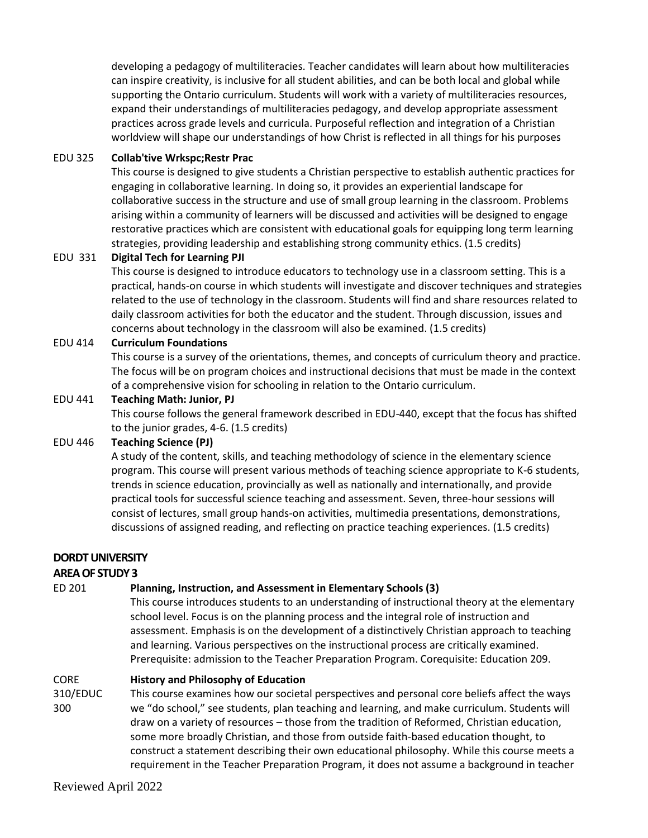developing a pedagogy of multiliteracies. Teacher candidates will learn about how multiliteracies can inspire creativity, is inclusive for all student abilities, and can be both local and global while supporting the Ontario curriculum. Students will work with a variety of multiliteracies resources, expand their understandings of multiliteracies pedagogy, and develop appropriate assessment practices across grade levels and curricula. Purposeful reflection and integration of a Christian worldview will shape our understandings of how Christ is reflected in all things for his purposes

### EDU 325 **Collab'tive Wrkspc;Restr Prac**

This course is designed to give students a Christian perspective to establish authentic practices for engaging in collaborative learning. In doing so, it provides an experiential landscape for collaborative success in the structure and use of small group learning in the classroom. Problems arising within a community of learners will be discussed and activities will be designed to engage restorative practices which are consistent with educational goals for equipping long term learning strategies, providing leadership and establishing strong community ethics. (1.5 credits)

## EDU 331 **Digital Tech for Learning PJI**

This course is designed to introduce educators to technology use in a classroom setting. This is a practical, hands-on course in which students will investigate and discover techniques and strategies related to the use of technology in the classroom. Students will find and share resources related to daily classroom activities for both the educator and the student. Through discussion, issues and concerns about technology in the classroom will also be examined. (1.5 credits)

### EDU 414 **Curriculum Foundations**

This course is a survey of the orientations, themes, and concepts of curriculum theory and practice. The focus will be on program choices and instructional decisions that must be made in the context of a comprehensive vision for schooling in relation to the Ontario curriculum.

### EDU 441 **Teaching Math: Junior, PJ**

This course follows the general framework described in EDU-440, except that the focus has shifted to the junior grades, 4-6. (1.5 credits)

## EDU 446 **Teaching Science (PJ)**

A study of the content, skills, and teaching methodology of science in the elementary science program. This course will present various methods of teaching science appropriate to K-6 students, trends in science education, provincially as well as nationally and internationally, and provide practical tools for successful science teaching and assessment. Seven, three-hour sessions will consist of lectures, small group hands-on activities, multimedia presentations, demonstrations, discussions of assigned reading, and reflecting on practice teaching experiences. (1.5 credits)

## **DORDT UNIVERSITY**

## **AREA OF STUDY 3**

## ED 201 **Planning, Instruction, and Assessment in Elementary Schools (3)**

This course introduces students to an understanding of instructional theory at the elementary school level. Focus is on the planning process and the integral role of instruction and assessment. Emphasis is on the development of a distinctively Christian approach to teaching and learning. Various perspectives on the instructional process are critically examined. Prerequisite: admission to the Teacher Preparation Program. Corequisite: Education 209.

#### CORE **History and Philosophy of Education**

310/EDUC 300 This course examines how our societal perspectives and personal core beliefs affect the ways we "do school," see students, plan teaching and learning, and make curriculum. Students will draw on a variety of resources – those from the tradition of Reformed, Christian education, some more broadly Christian, and those from outside faith-based education thought, to construct a statement describing their own educational philosophy. While this course meets a requirement in the Teacher Preparation Program, it does not assume a background in teacher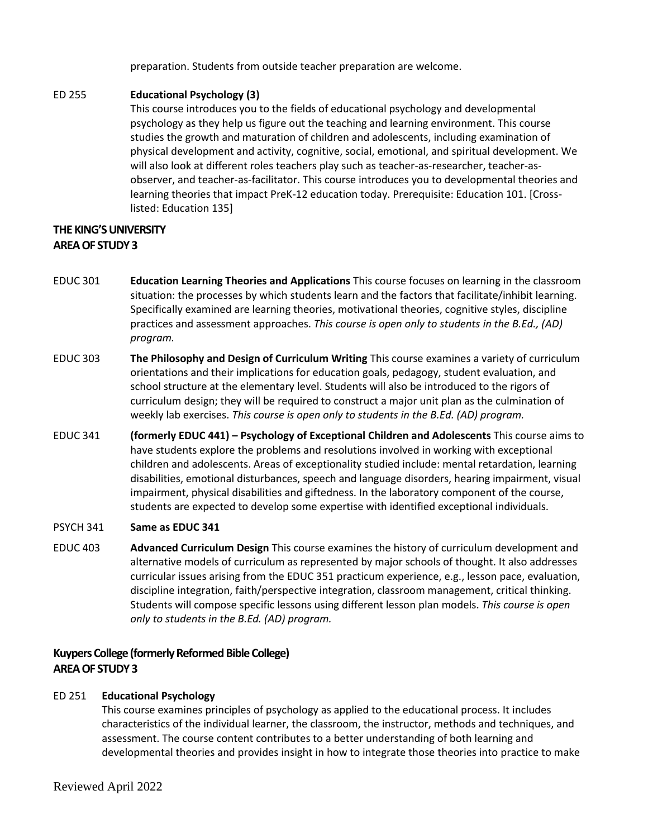preparation. Students from outside teacher preparation are welcome.

## ED 255 **Educational Psychology (3)**

This course introduces you to the fields of educational psychology and developmental psychology as they help us figure out the teaching and learning environment. This course studies the growth and maturation of children and adolescents, including examination of physical development and activity, cognitive, social, emotional, and spiritual development. We will also look at different roles teachers play such as teacher-as-researcher, teacher-asobserver, and teacher-as-facilitator. This course introduces you to developmental theories and learning theories that impact PreK-12 education today. Prerequisite: Education 101. [Crosslisted: Education 135]

## **THE KING'S UNIVERSITY AREA OF STUDY 3**

- EDUC 301 **Education Learning Theories and Applications** This course focuses on learning in the classroom situation: the processes by which students learn and the factors that facilitate/inhibit learning. Specifically examined are learning theories, motivational theories, cognitive styles, discipline practices and assessment approaches. *This course is open only to students in the B.Ed., (AD) program.*
- EDUC 303 **The Philosophy and Design of Curriculum Writing** This course examines a variety of curriculum orientations and their implications for education goals, pedagogy, student evaluation, and school structure at the elementary level. Students will also be introduced to the rigors of curriculum design; they will be required to construct a major unit plan as the culmination of weekly lab exercises. *This course is open only to students in the B.Ed. (AD) program.*
- EDUC 341 **(formerly EDUC 441) – Psychology of Exceptional Children and Adolescents** This course aims to have students explore the problems and resolutions involved in working with exceptional children and adolescents. Areas of exceptionality studied include: mental retardation, learning disabilities, emotional disturbances, speech and language disorders, hearing impairment, visual impairment, physical disabilities and giftedness. In the laboratory component of the course, students are expected to develop some expertise with identified exceptional individuals.

## PSYCH 341 **Same as EDUC 341**

EDUC 403 **Advanced Curriculum Design** This course examines the history of curriculum development and alternative models of curriculum as represented by major schools of thought. It also addresses curricular issues arising from the EDUC 351 practicum experience, e.g., lesson pace, evaluation, discipline integration, faith/perspective integration, classroom management, critical thinking. Students will compose specific lessons using different lesson plan models. *This course is open only to students in the B.Ed. (AD) program.*

## **Kuypers College (formerly Reformed Bible College) AREA OF STUDY 3**

## ED 251 **Educational Psychology**

This course examines principles of psychology as applied to the educational process. It includes characteristics of the individual learner, the classroom, the instructor, methods and techniques, and assessment. The course content contributes to a better understanding of both learning and developmental theories and provides insight in how to integrate those theories into practice to make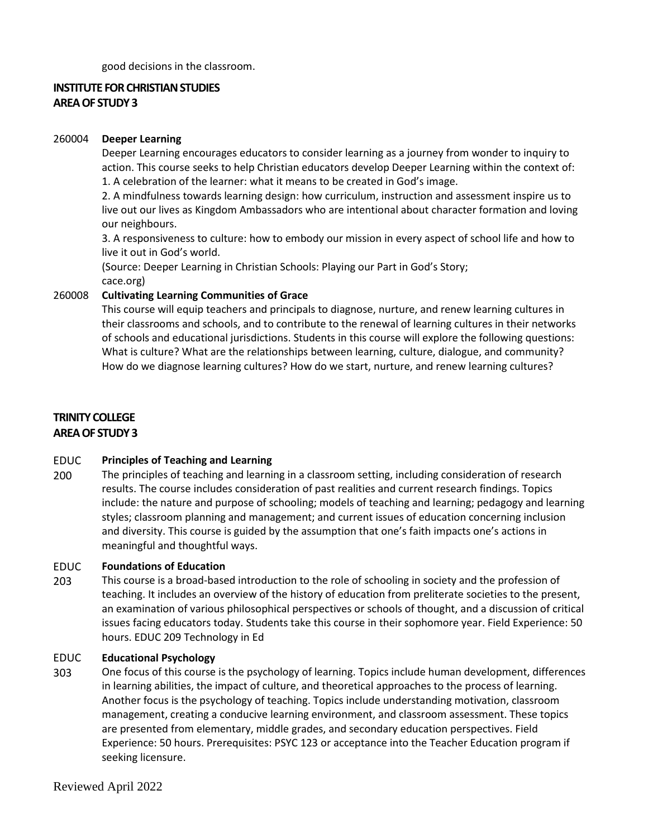good decisions in the classroom.

## **INSTITUTE FOR CHRISTIAN STUDIES AREA OF STUDY 3**

### 260004 **Deeper Learning**

Deeper Learning encourages educators to consider learning as a journey from wonder to inquiry to action. This course seeks to help Christian educators develop Deeper Learning within the context of: 1. A celebration of the learner: what it means to be created in God's image.

2. A mindfulness towards learning design: how curriculum, instruction and assessment inspire us to live out our lives as Kingdom Ambassadors who are intentional about character formation and loving our neighbours.

3. A responsiveness to culture: how to embody our mission in every aspect of school life and how to live it out in God's world.

(Source: Deeper Learning in Christian Schools: Playing our Part in God's Story;

cace.org)

## 260008 **Cultivating Learning Communities of Grace**

This course will equip teachers and principals to diagnose, nurture, and renew learning cultures in their classrooms and schools, and to contribute to the renewal of learning cultures in their networks of schools and educational jurisdictions. Students in this course will explore the following questions: What is culture? What are the relationships between learning, culture, dialogue, and community? How do we diagnose learning cultures? How do we start, nurture, and renew learning cultures?

### **TRINITY COLLEGE AREA OF STUDY 3**

#### EDUC **Principles of Teaching and Learning**

200 The principles of teaching and learning in a classroom setting, including consideration of research results. The course includes consideration of past realities and current research findings. Topics include: the nature and purpose of schooling; models of teaching and learning; pedagogy and learning styles; classroom planning and management; and current issues of education concerning inclusion and diversity. This course is guided by the assumption that one's faith impacts one's actions in meaningful and thoughtful ways.

#### EDUC **Foundations of Education**

203 This course is a broad-based introduction to the role of schooling in society and the profession of teaching. It includes an overview of the history of education from preliterate societies to the present, an examination of various philosophical perspectives or schools of thought, and a discussion of critical issues facing educators today. Students take this course in their sophomore year. Field Experience: 50 hours. EDUC 209 Technology in Ed

#### EDUC **Educational Psychology**

303 One focus of this course is the psychology of learning. Topics include human development, differences in learning abilities, the impact of culture, and theoretical approaches to the process of learning. Another focus is the psychology of teaching. Topics include understanding motivation, classroom management, creating a conducive learning environment, and classroom assessment. These topics are presented from elementary, middle grades, and secondary education perspectives. Field Experience: 50 hours. Prerequisites: PSYC 123 or acceptance into the Teacher Education program if seeking licensure.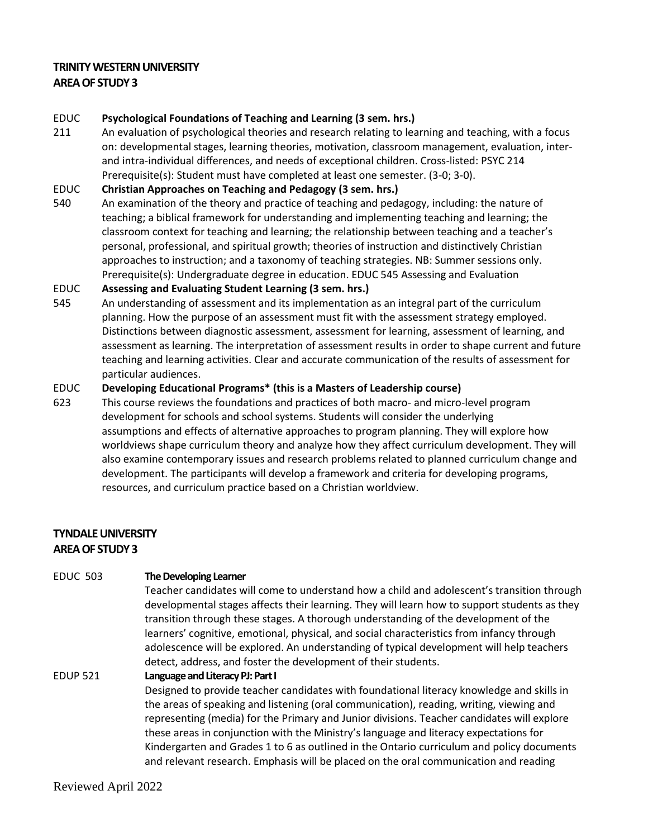## **TRINITY WESTERN UNIVERSITY AREA OF STUDY 3**

#### EDUC **Psychological Foundations of Teaching and Learning (3 sem. hrs.)**

211 An evaluation of psychological theories and research relating to learning and teaching, with a focus on: developmental stages, learning theories, motivation, classroom management, evaluation, interand intra-individual differences, and needs of exceptional children. Cross-listed: PSYC 214 Prerequisite(s): Student must have completed at least one semester. (3-0; 3-0).

#### EDUC **Christian Approaches on Teaching and Pedagogy (3 sem. hrs.)**

540 An examination of the theory and practice of teaching and pedagogy, including: the nature of teaching; a biblical framework for understanding and implementing teaching and learning; the classroom context for teaching and learning; the relationship between teaching and a teacher's personal, professional, and spiritual growth; theories of instruction and distinctively Christian approaches to instruction; and a taxonomy of teaching strategies. NB: Summer sessions only. Prerequisite(s): Undergraduate degree in education. EDUC 545 Assessing and Evaluation

#### EDUC **Assessing and Evaluating Student Learning (3 sem. hrs.)**

545 An understanding of assessment and its implementation as an integral part of the curriculum planning. How the purpose of an assessment must fit with the assessment strategy employed. Distinctions between diagnostic assessment, assessment for learning, assessment of learning, and assessment as learning. The interpretation of assessment results in order to shape current and future teaching and learning activities. Clear and accurate communication of the results of assessment for particular audiences.

#### EDUC **Developing Educational Programs\* (this is a Masters of Leadership course)**

623 This course reviews the foundations and practices of both macro- and micro-level program development for schools and school systems. Students will consider the underlying assumptions and effects of alternative approaches to program planning. They will explore how worldviews shape curriculum theory and analyze how they affect curriculum development. They will also examine contemporary issues and research problems related to planned curriculum change and development. The participants will develop a framework and criteria for developing programs, resources, and curriculum practice based on a Christian worldview.

## **TYNDALE UNIVERSITY AREA OF STUDY 3**

## EDUC 503 **The Developing Learner**

Teacher candidates will come to understand how a child and adolescent's transition through developmental stages affects their learning. They will learn how to support students as they transition through these stages. A thorough understanding of the development of the learners' cognitive, emotional, physical, and social characteristics from infancy through adolescence will be explored. An understanding of typical development will help teachers detect, address, and foster the development of their students.

## EDUP 521 **Language and Literacy PJ: Part I** Designed to provide teacher candidates with foundational literacy knowledge and skills in the areas of speaking and listening (oral communication), reading, writing, viewing and representing (media) for the Primary and Junior divisions. Teacher candidates will explore these areas in conjunction with the Ministry's language and literacy expectations for Kindergarten and Grades 1 to 6 as outlined in the Ontario curriculum and policy documents and relevant research. Emphasis will be placed on the oral communication and reading